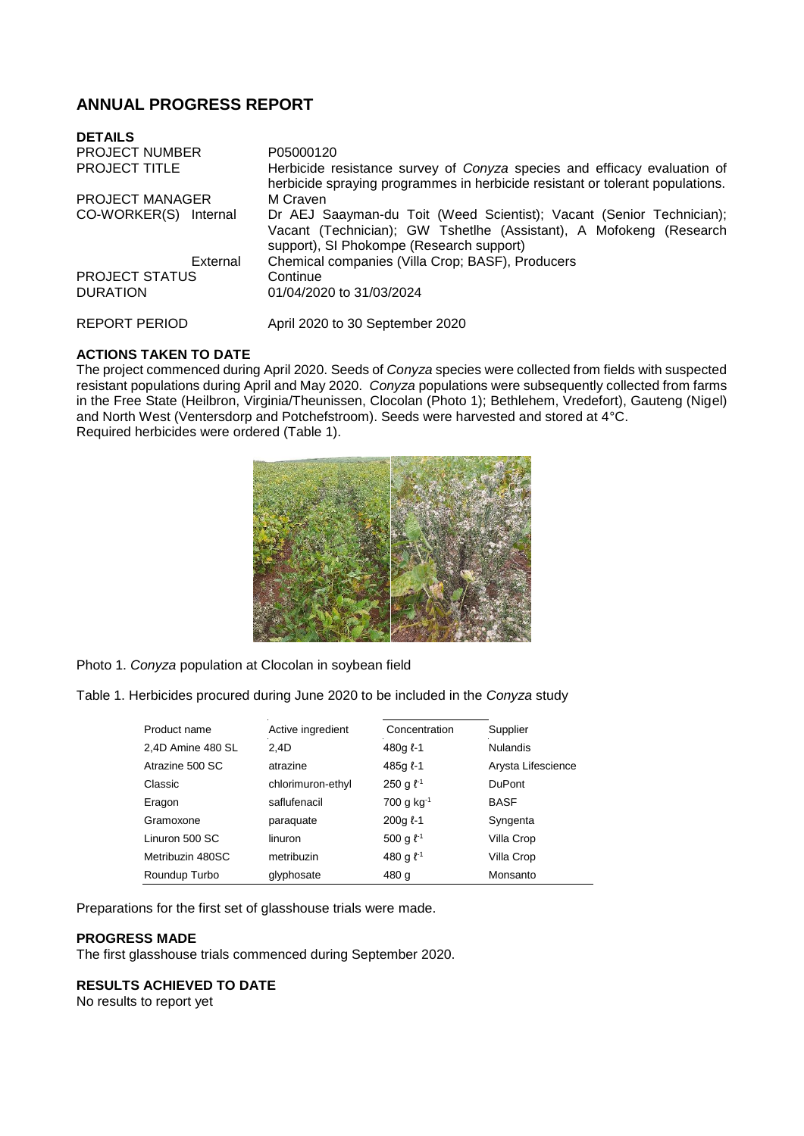# **ANNUAL PROGRESS REPORT**

| <b>DETAILS</b>         |                                                                                                                                                                                        |
|------------------------|----------------------------------------------------------------------------------------------------------------------------------------------------------------------------------------|
| <b>PROJECT NUMBER</b>  | P05000120                                                                                                                                                                              |
| <b>PROJECT TITLE</b>   | Herbicide resistance survey of Conyza species and efficacy evaluation of<br>herbicide spraying programmes in herbicide resistant or tolerant populations.                              |
| <b>PROJECT MANAGER</b> | M Craven                                                                                                                                                                               |
| CO-WORKER(S) Internal  | Dr AEJ Saayman-du Toit (Weed Scientist); Vacant (Senior Technician);<br>Vacant (Technician); GW Tshetlhe (Assistant), A Mofokeng (Research<br>support), SI Phokompe (Research support) |
| External               | Chemical companies (Villa Crop; BASF), Producers                                                                                                                                       |
| <b>PROJECT STATUS</b>  | Continue                                                                                                                                                                               |
| <b>DURATION</b>        | 01/04/2020 to 31/03/2024                                                                                                                                                               |
| <b>REPORT PERIOD</b>   | April 2020 to 30 September 2020                                                                                                                                                        |

## **ACTIONS TAKEN TO DATE**

The project commenced during April 2020. Seeds of *Conyza* species were collected from fields with suspected resistant populations during April and May 2020. *Conyza* populations were subsequently collected from farms in the Free State (Heilbron, Virginia/Theunissen, Clocolan (Photo 1); Bethlehem, Vredefort), Gauteng (Nigel) and North West (Ventersdorp and Potchefstroom). Seeds were harvested and stored at 4°C. Required herbicides were ordered (Table 1).



Photo 1. *Conyza* population at Clocolan in soybean field

Table 1. Herbicides procured during June 2020 to be included in the *Conyza* study

| Product name      | Active ingredient | Concentration     | Supplier           |
|-------------------|-------------------|-------------------|--------------------|
| 2,4D Amine 480 SL | 2.4D              | 480g $l - 1$      | <b>Nulandis</b>    |
| Atrazine 500 SC   | atrazine          | 485g $l-1$        | Arysta Lifescience |
| Classic           | chlorimuron-ethyl | 250 g $\ell^{-1}$ | <b>DuPont</b>      |
| Eragon            | saflufenacil      | 700 g $kg^{-1}$   | <b>BASF</b>        |
| Gramoxone         | paraquate         | $200q$ $l-1$      | Syngenta           |
| Linuron 500 SC    | linuron           | 500 g $\ell^{-1}$ | Villa Crop         |
| Metribuzin 480SC  | metribuzin        | 480 g $\ell^{-1}$ | Villa Crop         |
| Roundup Turbo     | glyphosate        | 480 g             | Monsanto           |

Preparations for the first set of glasshouse trials were made.

#### **PROGRESS MADE**

The first glasshouse trials commenced during September 2020.

### **RESULTS ACHIEVED TO DATE**

No results to report yet